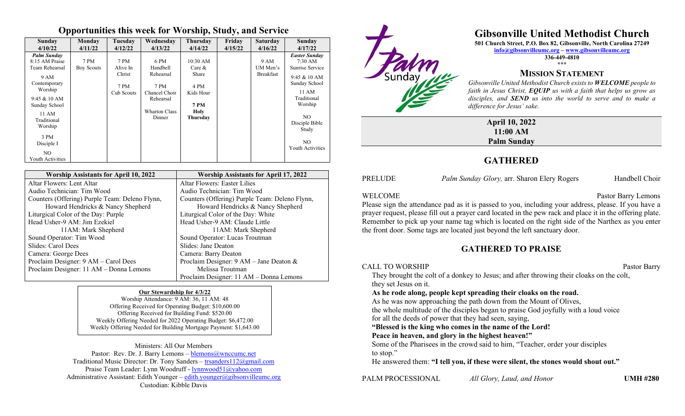### **Opportunities this week for Worship, Study, and Service**

| Sunday<br>4/10/22                                                                                                                                                                                              | Monday<br>4/11/22         | Tuesday<br>4/12/22                               | Wednesday<br>4/13/22                                                                                  | <b>Thursday</b><br>4/14/22                                                            | Friday<br>4/15/22 | <b>Saturday</b><br>4/16/22           | Sunday<br>4/17/22                                                                                                                                                                                    |
|----------------------------------------------------------------------------------------------------------------------------------------------------------------------------------------------------------------|---------------------------|--------------------------------------------------|-------------------------------------------------------------------------------------------------------|---------------------------------------------------------------------------------------|-------------------|--------------------------------------|------------------------------------------------------------------------------------------------------------------------------------------------------------------------------------------------------|
| <b>Palm Sunday</b><br>8:15 AM Praise<br>Team Rehearsal<br>9 AM<br>Contemporary<br>Worship<br>9:45 & 10 AM<br>Sunday School<br>11 AM<br>Traditional<br>Worship<br>3 PM<br>Disciple I<br>NO.<br>Youth Activities | 7 PM<br><b>Boy Scouts</b> | 7 PM<br>Alive In<br>Christ<br>7 PM<br>Cub Scouts | 6 PM<br>Handbell<br>Rehearsal<br>7 PM<br>Chancel Choir<br>Rehearsal<br><b>Wharton Class</b><br>Dinner | 10:30 AM<br>Care $&$<br>Share<br>4 PM<br>Kids Hour<br><b>7 PM</b><br>Holy<br>Thursday |                   | 9 AM<br>UM Men's<br><b>Breakfast</b> | <b>Easter Sunday</b><br>$7:30 \text{ AM}$<br>Sunrise Service<br>9:45 & 10 AM<br>Sunday School<br>11 AM<br>Traditional<br>Worship<br>NO.<br>Disciple Bible<br>Study<br>NO.<br><b>Youth Activities</b> |

| <b>Worship Assistants for April 10, 2022</b>   | <b>Worship Assistants for April 17, 2022</b>   |
|------------------------------------------------|------------------------------------------------|
| Altar Flowers: Lent Altar                      | Altar Flowers: Easter Lilies                   |
| Audio Technician: Tim Wood                     | Audio Technician: Tim Wood                     |
| Counters (Offering) Purple Team: Deleno Flynn, | Counters (Offering) Purple Team: Deleno Flynn, |
| Howard Hendricks & Nancy Shepherd              | Howard Hendricks & Nancy Shepherd              |
| Liturgical Color of the Day: Purple            | Liturgical Color of the Day: White             |
| Head Usher-9 AM: Jim Ezekiel                   | Head Usher-9 AM: Claude Little                 |
| 11AM: Mark Shepherd                            | 11AM: Mark Shepherd                            |
| Sound Operator: Tim Wood                       | Sound Operator: Lucas Troutman                 |
| Slides: Carol Dees                             | Slides: Jane Deaton                            |
| Camera: George Dees                            | Camera: Barry Deaton                           |
| Proclaim Designer: 9 AM - Carol Dees           | Proclaim Designer: 9 AM - Jane Deaton &        |
| Proclaim Designer: 11 AM - Donna Lemons        | Melissa Troutman                               |
|                                                | Proclaim Designer: 11 AM - Donna Lemons        |

#### **Our Stewardship for 4/3/22**

Worship Attendance: 9 AM: 36, 11 AM: 48 Offering Received for Operating Budget: \$10,600.00 Offering Received for Building Fund: \$520.00 Weekly Offering Needed for 2022 Operating Budget: \$6,472.00 Weekly Offering Needed for Building Mortgage Payment: \$1,643.00

Ministers: All Our Members Pastor: Rev. Dr. J. Barry Lemons  $-\text{blemons}(\partial_t wnccume.net)$ Traditional Music Director: Dr. Tony Sanders – [trsanders112@gmail.com](mailto:trsanders112@gmail.com) Praise Team Leader: Lynn Woodruff - [lynnwood51@yahoo.com](mailto:lynnwood51@yahoo.com) Administrative Assistant: Edith Younger – [edith.younger@gibsonvilleumc.org](mailto:edith.younger@gibsonvilleumc.org) Custodian: Kibble Davis



# **Gibsonville United Methodist Church**

**501 Church Street, P.O. Box 82, Gibsonville, North Carolina 27249**

**[info@gibsonvilleumc.org](mailto:info@gibsonvilleumc.org) – [www.gibsonvilleumc.org](http://www.gibsonvilleumc.org/) 336-449-4810 \*\*\***

## **MISSION STATEMENT**

*Gibsonville United Methodist Church exists to WELCOME people to faith in Jesus Christ, EQUIP us with a faith that helps us grow as disciples, and SEND us into the world to serve and to make a difference for Jesus' sake.*

**April 10, 2022 11:00 AM Palm Sunday**

# **GATHERED**

PRELUDE *Palm Sunday Glory, arr. Sharon Elery Rogers* Handbell Choir

#### WELCOME Pastor Barry Lemons

Please sign the attendance pad as it is passed to you, including your address, please. If you have a prayer request, please fill out a prayer card located in the pew rack and place it in the offering plate. Remember to pick up your name tag which is located on the right side of the Narthex as you enter the front door. Some tags are located just beyond the left sanctuary door.

## **GATHERED TO PRAISE**

CALL TO WORSHIP Pastor Barry They brought the colt of a donkey to Jesus; and after throwing their cloaks on the colt, they set Jesus on it. **As he rode along, people kept spreading their cloaks on the road.** As he was now approaching the path down from the Mount of Olives, the whole multitude of the disciples began to praise God joyfully with a loud voice for all the deeds of power that they had seen, saying, **"Blessed is the king who comes in the name of the Lord! Peace in heaven, and glory in the highest heaven!"** Some of the Pharisees in the crowd said to him, "Teacher, order your disciples to stop." He answered them: **"I tell you, if these were silent, the stones would shout out."**

PALM PROCESSIONAL *All Glory, Laud, and Honor* **UMH #280**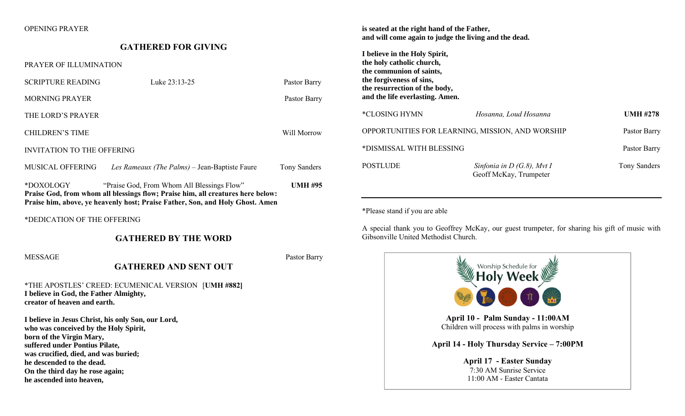#### OPENING PRAYER

#### **GATHERED FOR GIVING**

#### PRAYER OF ILLUMINATION

SCRIPTURE READING Luke 23:13-25 Pastor Barry MORNING PRAYER Pastor Barry THE LORD'S PRAYER CHILDREN'S TIME Will Morrow INVITATION TO THE OFFERING MUSICAL OFFERING *Les Rameaux (The Palms)* – Jean-Baptiste Faure Tony Sanders \*DOXOLOGY "Praise God, From Whom All Blessings Flow" **UMH #95 Praise God, from whom all blessings flow; Praise him, all creatures here below: Praise him, above, ye heavenly host; Praise Father, Son, and Holy Ghost. Amen** \*DEDICATION OF THE OFFERING **GATHERED BY THE WORD** MESSAGE Pastor Barry Pastor Barry Pastor Barry Pastor Barry Pastor Barry Pastor Barry Pastor Barry Pastor Barry **GATHERED AND SENT OUT** \*THE APOSTLES' CREED: ECUMENICAL VERSION [**UMH #882] I believe in God, the Father Almighty, creator of heaven and earth. I believe in Jesus Christ, his only Son, our Lord, who was conceived by the Holy Spirit,**

**born of the Virgin Mary, suffered under Pontius Pilate, was crucified, died, and was buried; he descended to the dead. On the third day he rose again; he ascended into heaven,**

**is seated at the right hand of the Father, and will come again to judge the living and the dead.**

**I believe in the Holy Spirit, the holy catholic church, the communion of saints, the forgiveness of sins, the resurrection of the body, and the life everlasting. Amen.**

| *CLOSING HYMN                                    | Hosanna, Loud Hosanna                                  | <b>UMH #278</b> |
|--------------------------------------------------|--------------------------------------------------------|-----------------|
| OPPORTUNITIES FOR LEARNING, MISSION, AND WORSHIP |                                                        | Pastor Barry    |
| *DISMISSAL WITH BLESSING                         |                                                        | Pastor Barry    |
| <b>POSTLUDE</b>                                  | Sinfonia in $D(G.8)$ , Mvt I<br>Geoff McKay, Trumpeter | Tony Sanders    |

\*Please stand if you are able

A special thank you to Geoffrey McKay, our guest trumpeter, for sharing his gift of music with Gibsonville United Methodist Church.